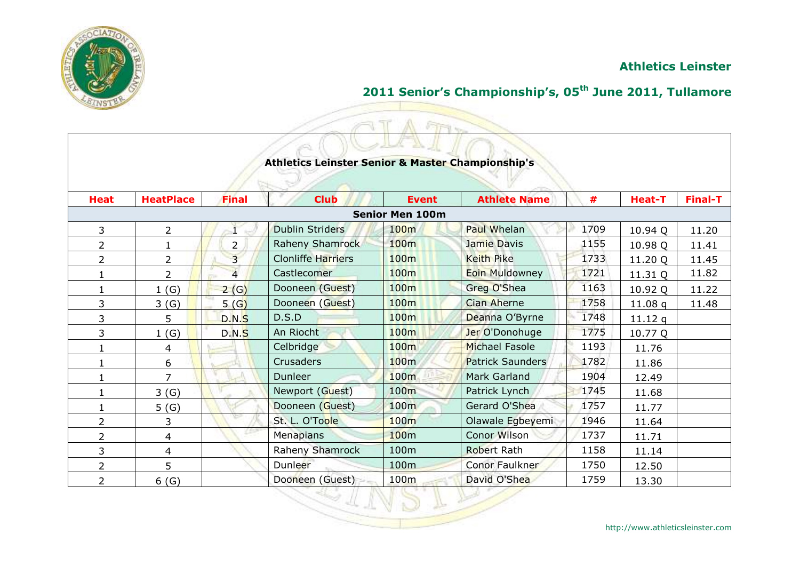

# **2011 Senior's Championship's, 05th June 2011, Tullamore**

|                |                  |                |                                                              | Fire-                  |                         |      |               |                |
|----------------|------------------|----------------|--------------------------------------------------------------|------------------------|-------------------------|------|---------------|----------------|
|                |                  |                |                                                              |                        |                         |      |               |                |
|                |                  |                | <b>Athletics Leinster Senior &amp; Master Championship's</b> |                        |                         |      |               |                |
|                |                  |                |                                                              |                        |                         |      |               |                |
|                |                  |                |                                                              |                        |                         |      |               |                |
| <b>Heat</b>    | <b>HeatPlace</b> | <b>Final</b>   | <b>Club</b>                                                  | <b>Event</b>           | <b>Athlete Name</b>     | #    | <b>Heat-T</b> | <b>Final-T</b> |
|                |                  |                |                                                              | <b>Senior Men 100m</b> |                         |      |               |                |
| 3              | 2                |                | <b>Dublin Striders</b>                                       | 100m                   | <b>Paul Whelan</b>      | 1709 | 10.94 Q       | 11.20          |
| 2              | 1                | $\overline{2}$ | <b>Raheny Shamrock</b>                                       | 100 <sub>m</sub>       | Jamie Davis             | 1155 | 10.98 Q       | 11.41          |
| 2              | 2                | $\overline{3}$ | <b>Clonliffe Harriers</b>                                    | 100m                   | <b>Keith Pike</b>       | 1733 | 11.20 Q       | 11.45          |
| 1              | $\overline{2}$   | $\overline{4}$ | Castlecomer                                                  | 100m                   | <b>Eoin Muldowney</b>   | 1721 | 11.31 Q       | 11.82          |
| 1              | 1(G)             | 2(G)           | Dooneen (Guest)                                              | 100 <sub>m</sub>       | Greg O'Shea             | 1163 | 10.92 Q       | 11.22          |
| 3              | 3(G)             | 5(G)           | Dooneen (Guest)                                              | 100 <sub>m</sub>       | <b>Cian Aherne</b>      | 1758 | 11.08q        | 11.48          |
| 3              | 5                | D.N.S          | D.S.D                                                        | 100 <sub>m</sub>       | Deanna O'Byrne          | 1748 | 11.12q        |                |
| 3              | 1(G)             | D.N.S          | An Riocht                                                    | 100m                   | Jer O'Donohuge          | 1775 | 10.77 Q       |                |
| 1              | 4                |                | Celbridge                                                    | 100m                   | <b>Michael Fasole</b>   | 1193 | 11.76         |                |
| 1              | 6                |                | <b>Crusaders</b>                                             | 100 <sub>m</sub>       | <b>Patrick Saunders</b> | 1782 | 11.86         |                |
| 1              | $\overline{7}$   |                | Dunleer                                                      | 100m                   | <b>Mark Garland</b>     | 1904 | 12.49         |                |
| 1              | 3(G)             |                | Newport (Guest)                                              | 100 <sub>m</sub>       | Patrick Lynch           | 1745 | 11.68         |                |
| 1              | 5(6)             |                | Dooneen (Guest)                                              | 100 <sub>m</sub>       | Gerard O'Shea           | 1757 | 11.77         |                |
| $\overline{2}$ | 3                |                | St. L. O'Toole                                               | <b>100m</b>            | Olawale Egbeyemi        | 1946 | 11.64         |                |
| $\overline{2}$ | 4                |                | Menapians                                                    | 100 <sub>m</sub>       | Conor Wilson            | 1737 | 11.71         |                |
| 3              | 4                |                | Raheny Shamrock                                              | 100m                   | <b>Robert Rath</b>      | 1158 | 11.14         |                |
| 2              | 5                |                | Dunleer                                                      | 100 <sub>m</sub>       | Conor Faulkner          | 1750 | 12.50         |                |
| $\overline{2}$ | 6(G)             |                | Dooneen (Guest)                                              | 100 <sub>m</sub>       | David O'Shea            | 1759 | 13.30         |                |

5 L L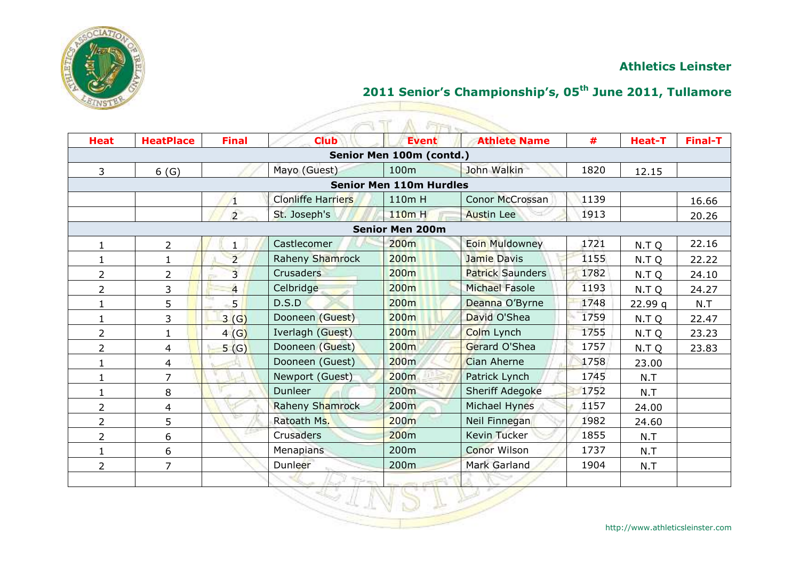

| <b>Heat</b>    | <b>HeatPlace</b> | <b>Final</b>   | <b>Club</b>               | $ET-1$<br><b>Event</b>         | <b>Athlete Name</b>     | #    | <b>Heat-T</b> | <b>Final-T</b> |
|----------------|------------------|----------------|---------------------------|--------------------------------|-------------------------|------|---------------|----------------|
|                |                  |                |                           | Senior Men 100m (contd.)       |                         |      |               |                |
| $\mathbf{3}$   | 6(G)             |                | Mayo (Guest)              | 100m                           | John Walkin             | 1820 | 12.15         |                |
|                |                  |                |                           | <b>Senior Men 110m Hurdles</b> |                         |      |               |                |
|                |                  | $\sqrt{1}$     | <b>Clonliffe Harriers</b> | 110m H                         | Conor McCrossan         | 1139 |               | 16.66          |
|                |                  | $\overline{2}$ | St. Joseph's              | 110m H                         | <b>Austin Lee</b>       | 1913 |               | 20.26          |
|                |                  |                |                           | <b>Senior Men 200m</b>         |                         |      |               |                |
| 1              | $\overline{2}$   |                | Castlecomer               | 200 <sub>m</sub>               | <b>Eoin Muldowney</b>   | 1721 | N.T Q         | 22.16          |
| 1              | 1                | $\overline{2}$ | <b>Raheny Shamrock</b>    | 200 <sub>m</sub>               | <b>Jamie Davis</b>      | 1155 | N.T Q         | 22.22          |
| $\overline{2}$ | $\overline{2}$   | $\overline{3}$ | Crusaders                 | 200 <sub>m</sub>               | <b>Patrick Saunders</b> | 1782 | N.T Q         | 24.10          |
| $\overline{2}$ | 3                | $\overline{4}$ | Celbridge                 | 200 <sub>m</sub>               | <b>Michael Fasole</b>   | 1193 | N.T Q         | 24.27          |
| $\mathbf{1}$   | 5                | 5 <sup>1</sup> | D.S.D                     | 200 <sub>m</sub>               | Deanna O'Byrne          | 1748 | 22.99q        | N.T            |
|                | 3                | 3(G)           | Dooneen (Guest)           | 200 <sub>m</sub>               | David O'Shea            | 1759 | N.T Q         | 22.47          |
| $\overline{2}$ |                  | 4(G)           | Iverlagh (Guest)          | 200 <sub>m</sub>               | Colm Lynch              | 1755 | N.T Q         | 23.23          |
| 2              | 4                | 5(G)           | Dooneen (Guest)           | 200m                           | Gerard O'Shea           | 1757 | N.T Q         | 23.83          |
| 1              | 4                |                | Dooneen (Guest)           | 200 <sub>m</sub>               | Cian Aherne             | 1758 | 23.00         |                |
| $\mathbf{1}$   | $\overline{7}$   |                | Newport (Guest)           | 200 <sub>m</sub>               | Patrick Lynch           | 1745 | N.T           |                |
| $\mathbf{1}$   | 8                |                | Dunleer                   | 200 <sub>m</sub>               | <b>Sheriff Adegoke</b>  | 1752 | N.T           |                |
| $\overline{2}$ | 4                |                | <b>Raheny Shamrock</b>    | 200m                           | Michael Hynes           | 1157 | 24.00         |                |
| 2              | 5                |                | Ratoath Ms.               | 200m                           | Neil Finnegan           | 1982 | 24.60         |                |
| $\overline{2}$ | 6                |                | Crusaders                 | 200 <sub>m</sub>               | <b>Kevin Tucker</b>     | 1855 | N.T           |                |
| $\mathbf{1}$   | 6                |                | Menapians                 | 200 <sub>m</sub>               | <b>Conor Wilson</b>     | 1737 | N.T           |                |
| $\overline{2}$ | $\overline{7}$   |                | Dunleer                   | 200m                           | <b>Mark Garland</b>     | 1904 | N.T           |                |
|                |                  |                |                           |                                |                         |      |               |                |
|                |                  |                |                           |                                |                         |      |               |                |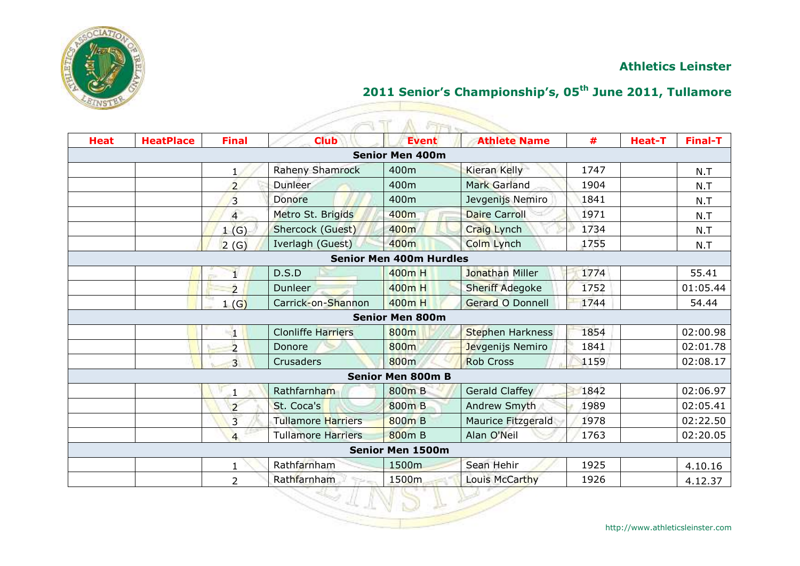

|             |                  |                |                               | <b>FIFT</b>                    |                        |      |               |                |
|-------------|------------------|----------------|-------------------------------|--------------------------------|------------------------|------|---------------|----------------|
| <b>Heat</b> | <b>HeatPlace</b> | <b>Final</b>   | <b>Club</b>                   | <b>Event</b>                   | <b>Athlete Name</b>    | #    | <b>Heat-T</b> | <b>Final-T</b> |
|             |                  |                |                               | <b>Senior Men 400m</b>         |                        |      |               |                |
|             |                  |                | Raheny Shamrock               | 400m                           | <b>Kieran Kelly</b>    | 1747 |               | N.T            |
|             |                  | $\overline{2}$ | <b>Dunleer</b>                | 400m                           | <b>Mark Garland</b>    | 1904 |               | N.T            |
|             |                  | 3              | Donore                        | 400m                           | Jevgenijs Nemiro       | 1841 |               | N.T            |
|             |                  | $\overline{4}$ | Metro St. Brigids             | 400m                           | <b>Daire Carroll</b>   | 1971 |               | N.T            |
|             |                  | (G)<br>1       | Shercock (Guest)              | 400m                           | <b>Craig Lynch</b>     | 1734 |               | N.T            |
|             |                  | 2(G)           | Iverlagh (Guest)              | 400m                           | <b>Colm Lynch</b>      | 1755 |               | N.T            |
|             |                  |                |                               | <b>Senior Men 400m Hurdles</b> |                        |      |               |                |
|             |                  |                | D.S.D                         | 400m H                         | Jonathan Miller        | 1774 |               | 55.41          |
|             |                  | $\overline{2}$ | Dunleer                       | 400m H                         | <b>Sheriff Adegoke</b> | 1752 |               | 01:05.44       |
|             |                  | 1(G)           | Carrick-on-Shannon            | 400m H                         | Gerard O Donnell       | 1744 |               | 54.44          |
|             |                  |                |                               | <b>Senior Men 800m</b>         |                        |      |               |                |
|             |                  | 41             | <b>Clonliffe Harriers</b>     | 800m                           | Stephen Harkness       | 1854 |               | 02:00.98       |
|             |                  | $\overline{2}$ | Donore                        | 800m                           | Jevgenijs Nemiro       | 1841 |               | 02:01.78       |
|             |                  | $\overline{3}$ | Crusaders                     | 800m                           | <b>Rob Cross</b>       | 1159 |               | 02:08.17       |
|             |                  |                |                               | <b>Senior Men 800m B</b>       |                        |      |               |                |
|             |                  | 1              | Rathfarnham                   | 800m B                         | <b>Gerald Claffey</b>  | 1842 |               | 02:06.97       |
|             |                  | $\overline{2}$ | St. Coca's                    | 800m B                         | Andrew Smyth           | 1989 |               | 02:05.41       |
|             |                  | $\overline{3}$ | <b>Tullamore Harriers</b>     | 800m B                         | Maurice Fitzgerald     | 1978 |               | 02:22.50       |
|             |                  | $\overline{4}$ | <b>Tullamore Harriers</b>     | 800m B                         | Alan O'Neil            | 1763 |               | 02:20.05       |
|             |                  |                |                               | <b>Senior Men 1500m</b>        |                        |      |               |                |
|             |                  | 1              | Rathfarnham                   | 1500m                          | Sean Hehir             | 1925 |               | 4.10.16        |
|             |                  | $\overline{2}$ | Rathfarnham<br><b>The low</b> | 1500m                          | Louis McCarthy         | 1926 |               | 4.12.37        |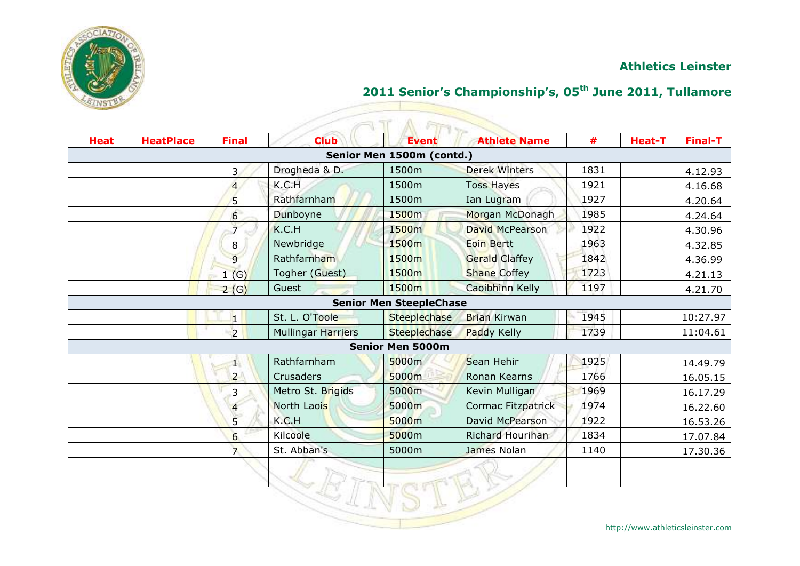

# **2011 Senior's Championship's, 05th June 2011, Tullamore**

| <b>Heat</b> | <b>HeatPlace</b> | <b>Final</b>            | <b>Club</b>               | <b>Event</b>                   | <b>Athlete Name</b>       | #    | <b>Heat-T</b> | <b>Final-T</b> |
|-------------|------------------|-------------------------|---------------------------|--------------------------------|---------------------------|------|---------------|----------------|
|             |                  |                         |                           | Senior Men 1500m (contd.)      |                           |      |               |                |
|             |                  | 3                       | Drogheda & D.             | 1500m                          | <b>Derek Winters</b>      | 1831 |               | 4.12.93        |
|             |                  | $\overline{4}$          | K.C.H                     | 1500m                          | <b>Toss Hayes</b>         | 1921 |               | 4.16.68        |
|             |                  | 5                       | Rathfarnham               | 1500m                          | Ian Lugram                | 1927 |               | 4.20.64        |
|             |                  | 6                       | Dunboyne                  | 1500m                          | Morgan McDonagh           | 1985 |               | 4.24.64        |
|             |                  | $\overline{7}$          | K.C.H                     | 1500m                          | David McPearson           | 1922 |               | 4.30.96        |
|             |                  | 8                       | Newbridge                 | 1500 <sub>m</sub>              | <b>Eoin Bertt</b>         | 1963 |               | 4.32.85        |
|             |                  | $\overline{9}$          | Rathfarnham               | 1500m                          | <b>Gerald Claffey</b>     | 1842 |               | 4.36.99        |
|             |                  | 1(G)                    | Togher (Guest)            | 1500m                          | <b>Shane Coffey</b>       | 1723 |               | 4.21.13        |
|             |                  | 2(G)                    | Guest                     | 1500m                          | <b>Caoibhinn Kelly</b>    | 1197 |               | 4.21.70        |
|             |                  |                         |                           | <b>Senior Men SteepleChase</b> |                           |      |               |                |
|             |                  | $\overline{\mathbf{1}}$ | St. L. O'Toole            | Steeplechase                   | <b>Brian Kirwan</b>       | 1945 |               | 10:27.97       |
|             |                  | $\overline{2}$          | <b>Mullingar Harriers</b> | Steeplechase                   | Paddy Kelly               | 1739 |               | 11:04.61       |
|             |                  |                         |                           | <b>Senior Men 5000m</b>        |                           |      |               |                |
|             |                  | $\mathbf{1}$            | Rathfarnham               | 5000m                          | Sean Hehir                | 1925 |               | 14.49.79       |
|             |                  | $\overline{2}$          | Crusaders                 | 5000m                          | Ronan Kearns              | 1766 |               | 16.05.15       |
|             |                  | 3                       | Metro St. Brigids         | 5000m                          | Kevin Mulligan            | 1969 |               | 16.17.29       |
|             |                  | $\overline{4}$          | North Laois               | 5000m                          | <b>Cormac Fitzpatrick</b> | 1974 |               | 16.22.60       |
|             |                  | 5                       | K.C.H                     | 5000m                          | David McPearson           | 1922 |               | 16.53.26       |
|             |                  | 6                       | Kilcoole                  | 5000m                          | Richard Hourihan          | 1834 |               | 17.07.84       |
|             |                  | $\overline{7}$          | St. Abban's               | 5000m                          | James Nolan               | 1140 |               | 17.30.36       |
|             |                  |                         |                           |                                |                           |      |               |                |
|             |                  |                         |                           |                                |                           |      |               |                |

http://www.athleticsleinster.com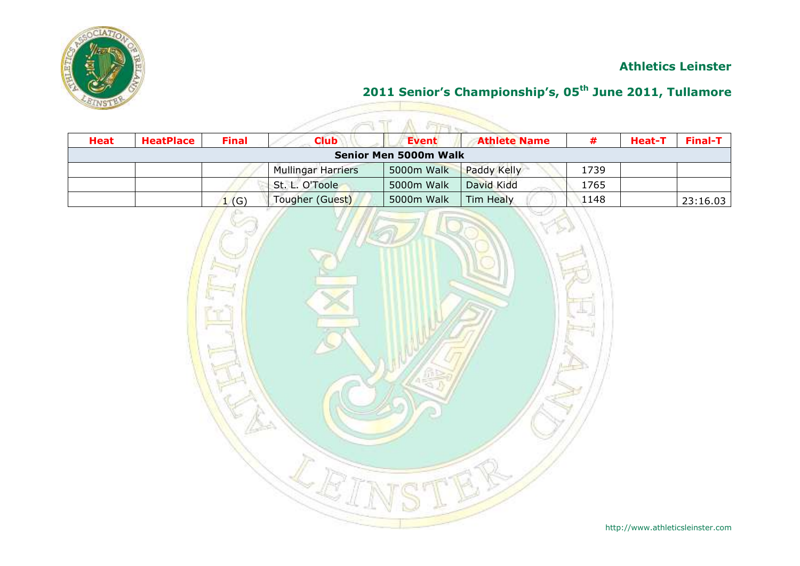

|                              | $\sqrt{1+1}$     |                 |                           |            |                     |      |               |                     |  |  |  |
|------------------------------|------------------|-----------------|---------------------------|------------|---------------------|------|---------------|---------------------|--|--|--|
| <b>Heat</b>                  | <b>HeatPlace</b> | <b>Final</b>    | <b>Club</b>               | Event      | <b>Athlete Name</b> |      | <b>Heat-T</b> | Final-T $\parallel$ |  |  |  |
| <b>Senior Men 5000m Walk</b> |                  |                 |                           |            |                     |      |               |                     |  |  |  |
|                              |                  |                 | <b>Mullingar Harriers</b> | 5000m Walk | Paddy Kelly         | 1739 |               |                     |  |  |  |
|                              |                  |                 | St. L. O'Toole            | 5000m Walk | David Kidd          | 1765 |               |                     |  |  |  |
|                              |                  | $\mathsf{L}(G)$ | Tougher (Guest)           | 5000m Walk | Tim Healy           | 1148 |               | 23:16.03            |  |  |  |

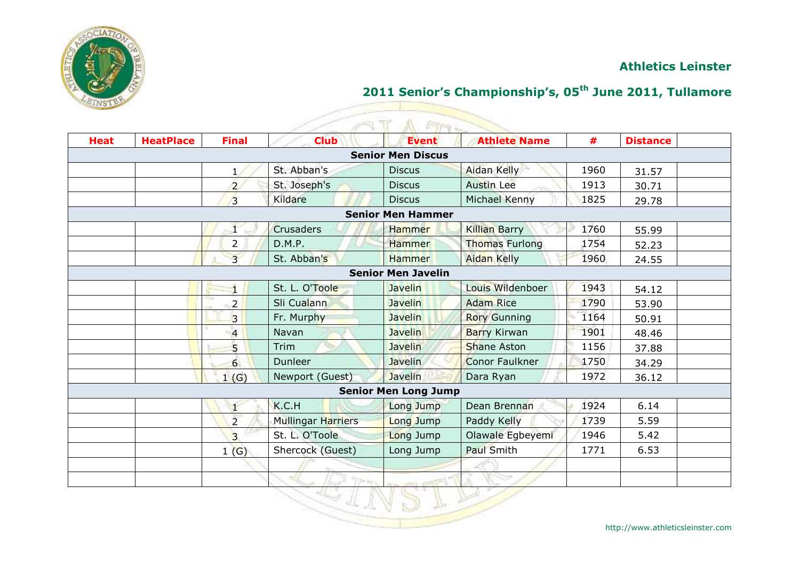

# **2011 Senior's Championship's, 05th June 2011, Tullamore**

| <b>Heat</b> | <b>HeatPlace</b> | <b>Final</b>   | <b>Club</b>        | <b>Event</b>                | <b>Athlete Name</b>   | #    | <b>Distance</b> |  |
|-------------|------------------|----------------|--------------------|-----------------------------|-----------------------|------|-----------------|--|
|             |                  |                |                    | <b>Senior Men Discus</b>    |                       |      |                 |  |
|             |                  | $\mathbf{1}$   | St. Abban's        | <b>Discus</b>               | <b>Aidan Kelly</b>    | 1960 | 31.57           |  |
|             |                  | $\overline{2}$ | St. Joseph's       | <b>Discus</b>               | <b>Austin Lee</b>     | 1913 | 30.71           |  |
|             |                  | $\overline{3}$ | Kildare            | <b>Discus</b>               | Michael Kenny         | 1825 | 29.78           |  |
|             |                  |                |                    | <b>Senior Men Hammer</b>    |                       |      |                 |  |
|             |                  |                | <b>Crusaders</b>   | Hammer                      | <b>Killian Barry</b>  | 1760 | 55.99           |  |
|             |                  | $\overline{2}$ | D.M.P.             | <b>Hammer</b>               | <b>Thomas Furlong</b> | 1754 | 52.23           |  |
|             |                  | $\overline{3}$ | St. Abban's        | <b>Hammer</b>               | <b>Aidan Kelly</b>    | 1960 | 24.55           |  |
|             |                  |                |                    | <b>Senior Men Javelin</b>   |                       |      |                 |  |
|             |                  |                | St. L. O'Toole     | <b>Javelin</b>              | Louis Wildenboer      | 1943 | 54.12           |  |
|             |                  | $2^{\bullet}$  | Sli Cualann        | <b>Javelin</b>              | <b>Adam Rice</b>      | 1790 | 53.90           |  |
|             |                  | $\overline{3}$ | Fr. Murphy         | <b>Javelin</b>              | <b>Rory Gunning</b>   | 1164 | 50.91           |  |
|             |                  | $\overline{4}$ | Navan              | <b>Javelin</b>              | <b>Barry Kirwan</b>   | 1901 | 48.46           |  |
|             |                  | 5              | Trim               | <b>Javelin</b>              | <b>Shane Aston</b>    | 1156 | 37.88           |  |
|             |                  | 6              | <b>Dunleer</b>     | <b>Javelin</b>              | <b>Conor Faulkner</b> | 1750 | 34.29           |  |
|             |                  | 1(G)           | Newport (Guest)    | Javelin                     | Dara Ryan             | 1972 | 36.12           |  |
|             |                  |                |                    | <b>Senior Men Long Jump</b> |                       |      |                 |  |
|             |                  |                | K.C.H              | Long Jump                   | Dean Brennan          | 1924 | 6.14            |  |
|             |                  | $\overline{2}$ | Mullingar Harriers | Long Jump                   | Paddy Kelly           | 1739 | 5.59            |  |
|             |                  | $\overline{3}$ | St. L. O'Toole     | Long Jump                   | Olawale Egbeyemi      | 1946 | 5.42            |  |
|             |                  | 1(G)           | Shercock (Guest)   | Long Jump                   | Paul Smith            | 1771 | 6.53            |  |
|             |                  |                |                    |                             |                       |      |                 |  |
|             |                  |                |                    |                             |                       |      |                 |  |
|             |                  |                |                    |                             |                       |      |                 |  |

#### AT A AR 17

http://www.athleticsleinster.com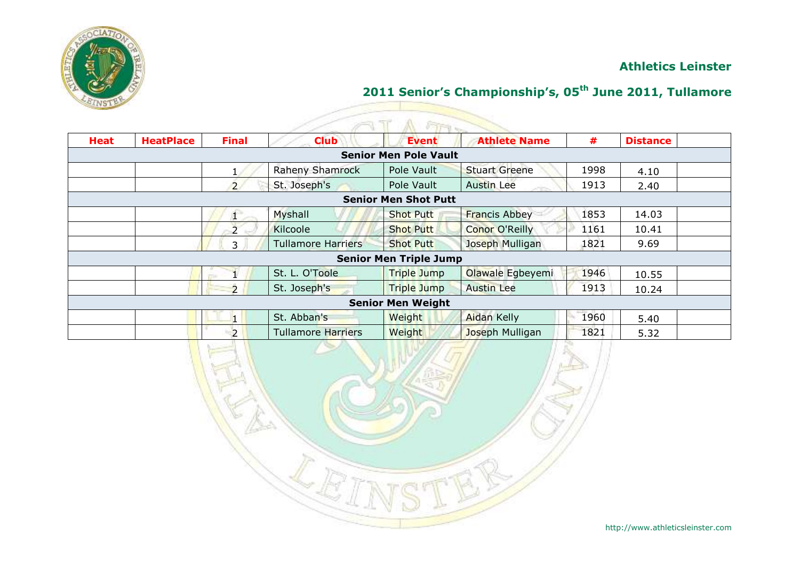

|             |                  |                          |                           | <b>Fire</b>                   |                       |      |                 |  |
|-------------|------------------|--------------------------|---------------------------|-------------------------------|-----------------------|------|-----------------|--|
| <b>Heat</b> | <b>HeatPlace</b> | <b>Final</b>             | <b>Club</b>               | <b>Event</b>                  | <b>Athlete Name</b>   | #    | <b>Distance</b> |  |
|             |                  |                          |                           | <b>Senior Men Pole Vault</b>  |                       |      |                 |  |
|             |                  |                          | <b>Raheny Shamrock</b>    | Pole Vault                    | <b>Stuart Greene</b>  | 1998 | 4.10            |  |
|             |                  | $\overline{2}$           | St. Joseph's              | Pole Vault                    | <b>Austin Lee</b>     | 1913 | 2.40            |  |
|             |                  |                          |                           | <b>Senior Men Shot Putt</b>   |                       |      |                 |  |
|             |                  | Æ.                       | Myshall                   | <b>Shot Putt</b>              | <b>Francis Abbey</b>  | 1853 | 14.03           |  |
|             |                  | $\overline{2}$           | Kilcoole                  | <b>Shot Putt</b>              | <b>Conor O'Reilly</b> | 1161 | 10.41           |  |
|             |                  | 3                        | <b>Tullamore Harriers</b> | <b>Shot Putt</b>              | Joseph Mulligan       | 1821 | 9.69            |  |
|             |                  |                          |                           | <b>Senior Men Triple Jump</b> |                       |      |                 |  |
|             |                  | <b>Taxable</b>           | St. L. O'Toole            | <b>Triple Jump</b>            | Olawale Egbeyemi      | 1946 | 10.55           |  |
|             |                  | $\overline{\phantom{0}}$ | St. Joseph's              | <b>Triple Jump</b>            | <b>Austin Lee</b>     | 1913 | 10.24           |  |
|             |                  |                          |                           | <b>Senior Men Weight</b>      |                       |      |                 |  |
|             |                  |                          | St. Abban's               | Weight                        | <b>Aidan Kelly</b>    | 1960 | 5.40            |  |
|             |                  | $\overline{2}$           | <b>Tullamore Harriers</b> | Weight                        | Joseph Mulligan       | 1821 | 5.32            |  |

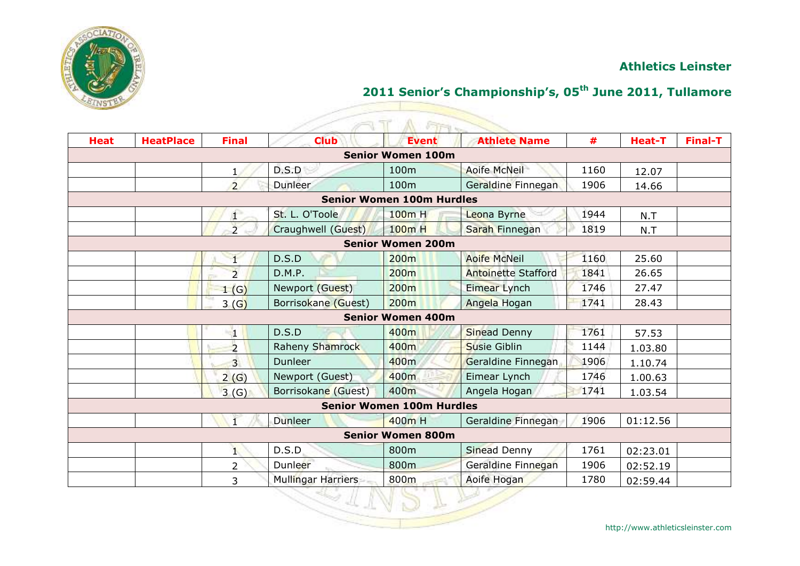

|             |                  |                |                     | <b>STAN</b>                      |                            |      |               |                |
|-------------|------------------|----------------|---------------------|----------------------------------|----------------------------|------|---------------|----------------|
| <b>Heat</b> | <b>HeatPlace</b> | <b>Final</b>   | <b>Club</b>         | <b>Event</b>                     | <b>Athlete Name</b>        | #    | <b>Heat-T</b> | <b>Final-T</b> |
|             |                  |                |                     | <b>Senior Women 100m</b>         |                            |      |               |                |
|             |                  |                | D.S.D               | 100 <sub>m</sub>                 | <b>Aoife McNeil</b>        | 1160 | 12.07         |                |
|             |                  | $\overline{2}$ | <b>Dunleer</b>      | 100m                             | Geraldine Finnegan         | 1906 | 14.66         |                |
|             |                  |                |                     | <b>Senior Women 100m Hurdles</b> |                            |      |               |                |
|             |                  | Æ.             | St. L. O'Toole      | 100m H                           | Leona Byrne                | 1944 | N.T           |                |
|             |                  | $\overline{2}$ | Craughwell (Guest)  | 100m H                           | Sarah Finnegan             | 1819 | N.T           |                |
|             |                  |                |                     | <b>Senior Women 200m</b>         |                            |      |               |                |
|             |                  |                | D.S.D               | 200 <sub>m</sub>                 | <b>Aoife McNeil</b>        | 1160 | 25.60         |                |
|             |                  | $\overline{2}$ | D.M.P.              | 200 <sub>m</sub>                 | <b>Antoinette Stafford</b> | 1841 | 26.65         |                |
|             |                  | 1(G)           | Newport (Guest)     | 200 <sub>m</sub>                 | Eimear Lynch               | 1746 | 27.47         |                |
|             |                  | 3(G)           | Borrisokane (Guest) | 200 <sub>m</sub>                 | Angela Hogan               | 1741 | 28.43         |                |
|             |                  |                |                     | <b>Senior Women 400m</b>         |                            |      |               |                |
|             |                  | 41             | D.S.D               | 400m                             | <b>Sinead Denny</b>        | 1761 | 57.53         |                |
|             |                  | $\overline{2}$ | Raheny Shamrock     | 400m                             | <b>Susie Giblin</b>        | 1144 | 1.03.80       |                |
|             |                  | $\overline{3}$ | Dunleer             | 400 <sub>m</sub>                 | Geraldine Finnegan         | 1906 | 1.10.74       |                |
|             |                  | 2(G)           | Newport (Guest)     | 400m                             | Eimear Lynch               | 1746 | 1.00.63       |                |
|             |                  | 3(G)           | Borrisokane (Guest) | 400m                             | Angela Hogan               | 1741 | 1.03.54       |                |
|             |                  |                |                     | <b>Senior Women 100m Hurdles</b> |                            |      |               |                |
|             |                  |                | Dunleer             | 400m H                           | Geraldine Finnegan         | 1906 | 01:12.56      |                |
|             |                  |                |                     | <b>Senior Women 800m</b>         |                            |      |               |                |
|             |                  |                | D.S.D.              | 800m                             | <b>Sinead Denny</b>        | 1761 | 02:23.01      |                |
|             |                  | $\overline{2}$ | Dunleer             | 800m                             | Geraldine Finnegan         | 1906 | 02:52.19      |                |
|             |                  | 3              | Mullingar Harriers  | 800m                             | Aoife Hogan                | 1780 | 02:59.44      |                |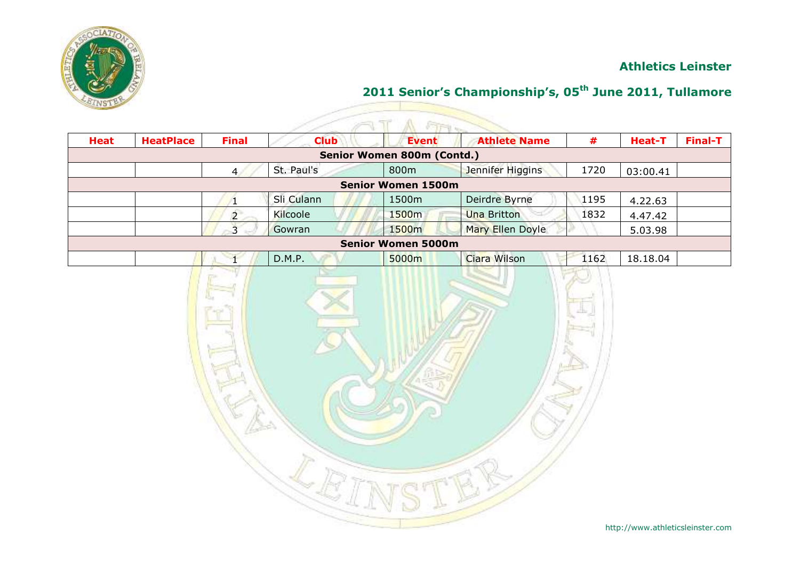

| <b>Heat</b> | <b>HeatPlace</b> | <b>Final</b>   | <b>Club</b> | <b>Event</b>               | <b>Athlete Name</b> | #    | Heat-T   | <b>Final-T</b> |
|-------------|------------------|----------------|-------------|----------------------------|---------------------|------|----------|----------------|
|             |                  |                |             | Senior Women 800m (Contd.) |                     |      |          |                |
|             |                  | 4              | St. Paul's  | 800m                       | Jennifer Higgins    | 1720 | 03:00.41 |                |
|             |                  |                |             | <b>Senior Women 1500m</b>  |                     |      |          |                |
|             |                  |                | Sli Culann  | 1500m                      | Deirdre Byrne       | 1195 | 4.22.63  |                |
|             |                  | $\overline{2}$ | Kilcoole    | 1500m                      | <b>Una Britton</b>  | 1832 | 4.47.42  |                |
|             |                  | $\overline{3}$ | Gowran      | 1500m                      | Mary Ellen Doyle    |      | 5.03.98  |                |
|             |                  |                |             | <b>Senior Women 5000m</b>  |                     |      |          |                |
|             |                  |                | D.M.P.      | 5000m                      | Ciara Wilson        | 1162 | 18.18.04 |                |
|             |                  |                |             |                            |                     |      |          |                |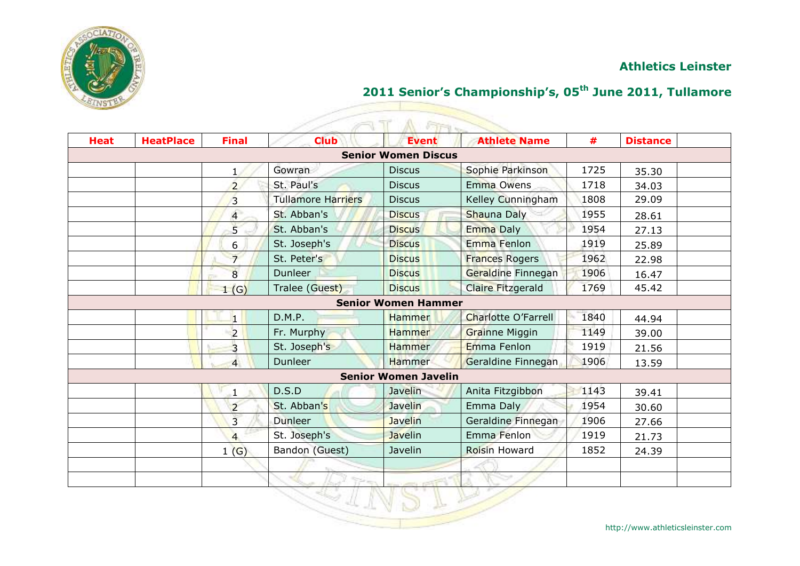

# **2011 Senior's Championship's, 05th June 2011, Tullamore**

| <b>Heat</b> | <b>HeatPlace</b> | <b>Final</b>   | <b>Club</b>               | A FIFT<br><b>Event</b>      | <b>Athlete Name</b>        | #    | <b>Distance</b> |
|-------------|------------------|----------------|---------------------------|-----------------------------|----------------------------|------|-----------------|
|             |                  |                |                           | <b>Senior Women Discus</b>  |                            |      |                 |
|             |                  | $\mathbf{1}$   | Gowran                    | <b>Discus</b>               | Sophie Parkinson           | 1725 | 35.30           |
|             |                  | $\overline{2}$ | St. Paul's                | <b>Discus</b>               | Emma Owens                 | 1718 | 34.03           |
|             |                  | $\overline{3}$ | <b>Tullamore Harriers</b> | <b>Discus</b>               | Kelley Cunningham          | 1808 | 29.09           |
|             |                  | $\overline{4}$ | St. Abban's               | <b>Discus</b>               | Shauna Daly                | 1955 | 28.61           |
|             |                  | $\overline{5}$ | St. Abban's               | <b>Discus</b>               | <b>Emma Daly</b>           | 1954 | 27.13           |
|             |                  | 6              | St. Joseph's              | <b>Discus</b>               | Emma Fenlon                | 1919 | 25.89           |
|             |                  | $\overline{7}$ | St. Peter's               | <b>Discus</b>               | <b>Frances Rogers</b>      | 1962 | 22.98           |
|             |                  | 8              | <b>Dunleer</b>            | <b>Discus</b>               | Geraldine Finnegan         | 1906 | 16.47           |
|             |                  | 1(G)           | Tralee (Guest)            | <b>Discus</b>               | <b>Claire Fitzgerald</b>   | 1769 | 45.42           |
|             |                  |                |                           | <b>Senior Women Hammer</b>  |                            |      |                 |
|             |                  | 1              | D.M.P.                    | <b>Hammer</b>               | <b>Charlotte O'Farrell</b> | 1840 | 44.94           |
|             |                  | $\overline{2}$ | Fr. Murphy                | <b>Hammer</b>               | <b>Grainne Miggin</b>      | 1149 | 39.00           |
|             |                  | $\overline{3}$ | St. Joseph's              | <b>Hammer</b>               | Emma Fenlon                | 1919 | 21.56           |
|             |                  | $\overline{4}$ | <b>Dunleer</b>            | <b>Hammer</b>               | Geraldine Finnegan         | 1906 | 13.59           |
|             |                  |                |                           | <b>Senior Women Javelin</b> |                            |      |                 |
|             |                  |                | D.S.D                     | Javelin                     | Anita Fitzgibbon           | 1143 | 39.41           |
|             |                  | $\overline{2}$ | St. Abban's               | <b>Javelin</b>              | Emma Daly                  | 1954 | 30.60           |
|             |                  | $\overline{3}$ | Dunleer                   | <b>Javelin</b>              | Geraldine Finnegan         | 1906 | 27.66           |
|             |                  | $\overline{4}$ | St. Joseph's              | <b>Javelin</b>              | Emma Fenlon                | 1919 | 21.73           |
|             |                  | 1(G)           | Bandon (Guest)            | Javelin                     | <b>Roisin Howard</b>       | 1852 | 24.39           |
|             |                  |                |                           |                             |                            |      |                 |
|             |                  |                |                           |                             |                            |      |                 |